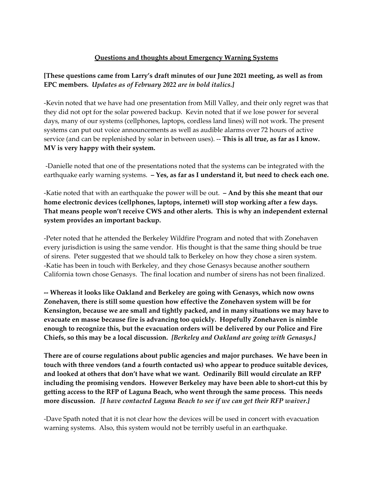## **Questions and thoughts about Emergency Warning Systems**

## **[These questions came from Larry's draft minutes of our June 2021 meeting, as well as from EPC members.** *Updates as of February 2022 are in bold italics.]*

-Kevin noted that we have had one presentation from Mill Valley, and their only regret was that they did not opt for the solar powered backup. Kevin noted that if we lose power for several days, many of our systems (cellphones, laptops, cordless land lines) will not work. The present systems can put out voice announcements as well as audible alarms over 72 hours of active service (and can be replenished by solar in between uses). -- **This is all true, as far as I know. MV is very happy with their system.**

-Danielle noted that one of the presentations noted that the systems can be integrated with the earthquake early warning systems. **– Yes, as far as I understand it, but need to check each one.**

-Katie noted that with an earthquake the power will be out. **– And by this she meant that our home electronic devices (cellphones, laptops, internet) will stop working after a few days. That means people won't receive CWS and other alerts. This is why an independent external system provides an important backup.**

-Peter noted that he attended the Berkeley Wildfire Program and noted that with Zonehaven every jurisdiction is using the same vendor. His thought is that the same thing should be true of sirens. Peter suggested that we should talk to Berkeley on how they chose a siren system. -Katie has been in touch with Berkeley, and they chose Genasys because another southern California town chose Genasys. The final location and number of sirens has not been finalized.

**-- Whereas it looks like Oakland and Berkeley are going with Genasys, which now owns Zonehaven, there is still some question how effective the Zonehaven system will be for Kensington, because we are small and tightly packed, and in many situations we may have to evacuate en masse because fire is advancing too quickly. Hopefully Zonehaven is nimble enough to recognize this, but the evacuation orders will be delivered by our Police and Fire Chiefs, so this may be a local discussion.** *[Berkeley and Oakland are going with Genasys.]*

**There are of course regulations about public agencies and major purchases. We have been in touch with three vendors (and a fourth contacted us) who appear to produce suitable devices, and looked at others that don't have what we want. Ordinarily Bill would circulate an RFP including the promising vendors. However Berkeley may have been able to short-cut this by getting access to the RFP of Laguna Beach, who went through the same process. This needs more discussion.** *[I have contacted Laguna Beach to see if we can get their RFP waiver.]*

-Dave Spath noted that it is not clear how the devices will be used in concert with evacuation warning systems. Also, this system would not be terribly useful in an earthquake.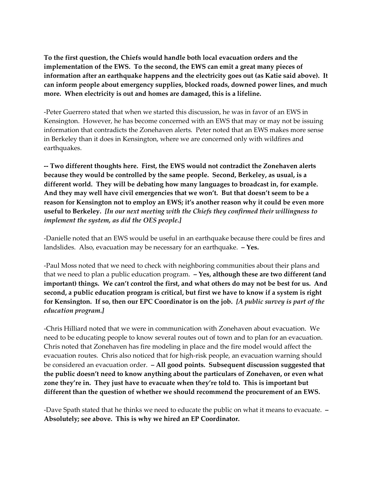**To the first question, the Chiefs would handle both local evacuation orders and the implementation of the EWS. To the second, the EWS can emit a great many pieces of information after an earthquake happens and the electricity goes out (as Katie said above). It can inform people about emergency supplies, blocked roads, downed power lines, and much more. When electricity is out and homes are damaged, this is a lifeline.**

-Peter Guerrero stated that when we started this discussion, he was in favor of an EWS in Kensington. However, he has become concerned with an EWS that may or may not be issuing information that contradicts the Zonehaven alerts. Peter noted that an EWS makes more sense in Berkeley than it does in Kensington, where we are concerned only with wildfires and earthquakes.

**-- Two different thoughts here. First, the EWS would not contradict the Zonehaven alerts because they would be controlled by the same people. Second, Berkeley, as usual, is a different world. They will be debating how many languages to broadcast in, for example. And they may well have civil emergencies that we won't. But that doesn't seem to be a reason for Kensington not to employ an EWS; it's another reason why it could be even more useful to Berkeley.** *[In our next meeting with the Chiefs they confirmed their willingness to implement the system, as did the OES people.]*

-Danielle noted that an EWS would be useful in an earthquake because there could be fires and landslides. Also, evacuation may be necessary for an earthquake. **– Yes.**

-Paul Moss noted that we need to check with neighboring communities about their plans and that we need to plan a public education program. **– Yes, although these are two different (and important) things. We can't control the first, and what others do may not be best for us. And second, a public education program is critical, but first we have to know if a system is right for Kensington. If so, then our EPC Coordinator is on the job.** *[A public survey is part of the education program.]*

-Chris Hilliard noted that we were in communication with Zonehaven about evacuation. We need to be educating people to know several routes out of town and to plan for an evacuation. Chris noted that Zonehaven has fire modeling in place and the fire model would affect the evacuation routes. Chris also noticed that for high-risk people, an evacuation warning should be considered an evacuation order. **– All good points. Subsequent discussion suggested that the public doesn't need to know anything about the particulars of Zonehaven, or even what zone they're in. They just have to evacuate when they're told to. This is important but different than the question of whether we should recommend the procurement of an EWS.**

-Dave Spath stated that he thinks we need to educate the public on what it means to evacuate. **– Absolutely; see above. This is why we hired an EP Coordinator.**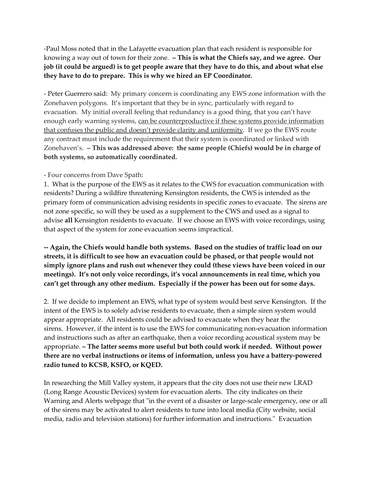-Paul Moss noted that in the Lafayette evacuation plan that each resident is responsible for knowing a way out of town for their zone. **– This is what the Chiefs say, and we agree. Our job (it could be argued) is to get people aware that they have to do this, and about what else they have to do to prepare. This is why we hired an EP Coordinator.**

- Peter Guerrero said: My primary concern is coordinating any EWS zone information with the Zonehaven polygons. It's important that they be in sync, particularly with regard to evacuation. My initial overall feeling that redundancy is a good thing, that you can't have enough early warning systems, can be counterproductive if these systems provide information that confuses the public and doesn't provide clarity and uniformity. If we go the EWS route any contract must include the requirement that their system is coordinated or linked with Zonehaven's. **– This was addressed above: the same people (Chiefs) would be in charge of both systems, so automatically coordinated.**

## - Four concerns from Dave Spath:

1. What is the purpose of the EWS as it relates to the CWS for evacuation communication with residents? During a wildfire threatening Kensington residents, the CWS is intended as the primary form of communication advising residents in specific zones to evacuate. The sirens are not zone specific, so will they be used as a supplement to the CWS and used as a signal to advise **all** Kensington residents to evacuate. If we choose an EWS with voice recordings, using that aspect of the system for zone evacuation seems impractical.

**-- Again, the Chiefs would handle both systems. Based on the studies of traffic load on our streets, it is difficult to see how an evacuation could be phased, or that people would not simply ignore plans and rush out whenever they could (these views have been voiced in our meetings). It's not only voice recordings, it's vocal announcements in real time, which you can't get through any other medium. Especially if the power has been out for some days.**

2. If we decide to implement an EWS, what type of system would best serve Kensington. If the intent of the EWS is to solely advise residents to evacuate, then a simple siren system would appear appropriate. All residents could be advised to evacuate when they hear the sirens. However, if the intent is to use the EWS for communicating non-evacuation information and instructions such as after an earthquake, then a voice recording acoustical system may be appropriate. **– The latter seems more useful but both could work if needed. Without power there are no verbal instructions or items of information, unless you have a battery-powered radio tuned to KCSB, KSFO, or KQED.**

In researching the Mill Valley system, it appears that the city does not use their new LRAD (Long Range Acoustic Devices) system for evacuation alerts. The city indicates on their Warning and Alerts webpage that "in the event of a disaster or large-scale emergency, one or all of the sirens may be activated to alert residents to tune into local media (City website, social media, radio and television stations) for further information and instructions." Evacuation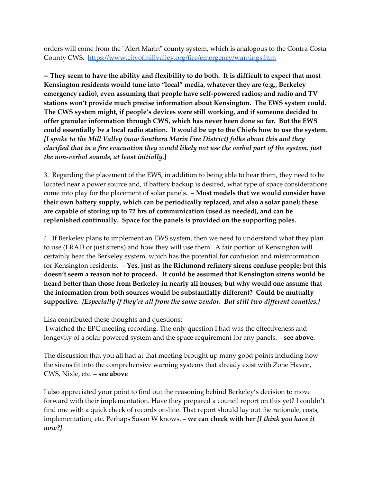orders will come from the "Alert Marin" county system, which is analogous to the Contra Costa County CWS. <https://www.cityofmillvalley.org/fire/emergency/warnings.htm>

**-- They seem to have the ability and flexibility to do both. It is difficult to expect that most Kensington residents would tune into "local" media, whatever they are (e.g., Berkeley emergency radio), even assuming that people have self-powered radios; and radio and TV stations won't provide much precise information about Kensington. The EWS system could. The CWS system might, if people's devices were still working, and if someone decided to offer granular information through CWS, which has never been done so far. But the EWS could essentially be a local radio station. It would be up to the Chiefs how to use the system.**  *[I spoke to the Mill Valley (now Southern Marin Fire District) folks about this and they clarified that in a fire evacuation they would likely not use the verbal part of the system, just the non-verbal sounds, at least initially.]*

3. Regarding the placement of the EWS, in addition to being able to hear them, they need to be located near a power source and, if battery backup is desired, what type of space considerations come into play for the placement of solar panels. **– Most models that we would consider have their own battery supply, which can be periodically replaced, and also a solar panel; these are capable of storing up to 72 hrs of communication (used as needed), and can be replenished continually. Space for the panels is provided on the supporting poles.**

4. If Berkeley plans to implement an EWS system, then we need to understand what they plan to use (LRAD or just sirens) and how they will use them. A fair portion of Kensington will certainly hear the Berkeley system, which has the potential for confusion and misinformation for Kensington residents. **– Yes, just as the Richmond refinery sirens confuse people; but this doesn't seem a reason not to proceed. It could be assumed that Kensington sirens would be heard better than those from Berkeley in nearly all houses; but why would one assume that the information from both sources would be substantially different? Could be mutually supportive.** *[Especially if they're all from the same vendor. But still two different counties.]*

Lisa contributed these thoughts and questions:

I watched the EPC meeting recording. The only question I had was the effectiveness and longevity of a solar powered system and the space requirement for any panels. **– see above.**

The discussion that you all had at that meeting brought up many good points including how the sirens fit into the comprehensive warning systems that already exist with Zone Haven, CWS, Nixle, etc. **– see above**

I also appreciated your point to find out the reasoning behind Berkeley's decision to move forward with their implementation. Have they prepared a council report on this yet? I couldn't find one with a quick check of records on-line. That report should lay out the rationale, costs, implementation, etc. Perhaps Susan W knows. **– we can check with her** *[I think you have it now?]*